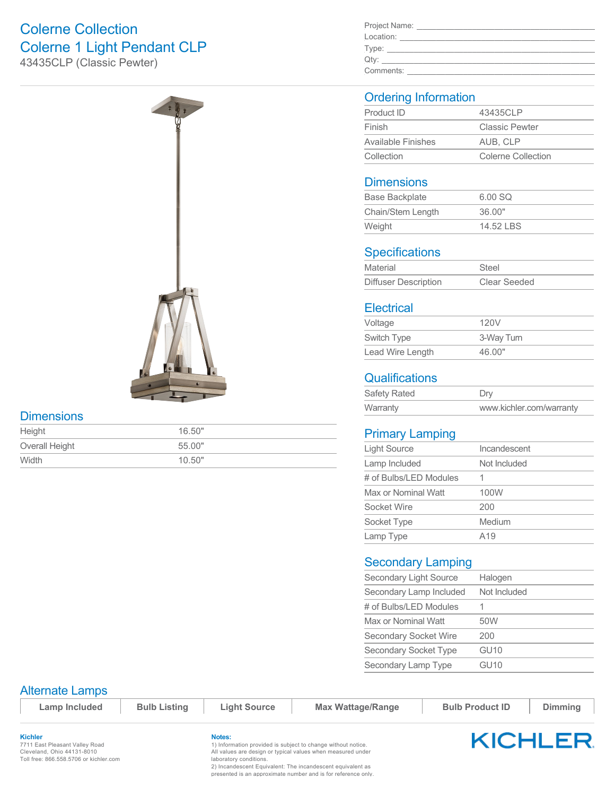# Colerne Collection Colerne 1 Light Pendant CLP

43435CLP (Classic Pewter)



#### **Dimensions**

| Height         | 16.50" |
|----------------|--------|
| Overall Height | 55.00" |
| Width          | 10.50" |

| Project Name: |  |
|---------------|--|
| Location:     |  |
| Type:         |  |
| Qty:          |  |
| Comments:     |  |

### Ordering Information

| Product ID                | 43435CLP              |  |
|---------------------------|-----------------------|--|
| Finish                    | <b>Classic Pewter</b> |  |
| <b>Available Finishes</b> | AUB. CLP              |  |
| Collection                | Colerne Collection    |  |

#### **Dimensions**

| <b>Base Backplate</b> | 6.00 SQ   |
|-----------------------|-----------|
| Chain/Stem Length     | 36.00"    |
| Weight                | 14.52 LBS |
|                       |           |

## **Specifications**

| Material                    | Steel        |
|-----------------------------|--------------|
| <b>Diffuser Description</b> | Clear Seeded |

### **Electrical**

| Voltage          | 120V       |
|------------------|------------|
| Switch Type      | 3-Way Turn |
| Lead Wire Length | 46.00"     |

# **Qualifications**

| Safety Rated | Dry                      |
|--------------|--------------------------|
| Warranty     | www.kichler.com/warranty |

# Primary Lamping

| <b>Light Source</b>    | Incandescent    |
|------------------------|-----------------|
| Lamp Included          | Not Included    |
| # of Bulbs/LED Modules |                 |
| Max or Nominal Watt    | 100W            |
| Socket Wire            | 200             |
| Socket Type            | Medium          |
| Lamp Type              | A <sub>19</sub> |

#### Secondary Lamping

| Secondary Light Source       | Halogen          |
|------------------------------|------------------|
| Secondary Lamp Included      | Not Included     |
| # of Bulbs/LED Modules       |                  |
| Max or Nominal Watt          | 50W              |
| <b>Secondary Socket Wire</b> | 200              |
| Secondary Socket Type        | GU <sub>10</sub> |
| Secondary Lamp Type          | GU10             |

#### Alternate Lamps

 $\blacksquare$  **Lamp Included** | Bulb Listing | Light Source | Max Wattage/Range | Bulb Product ID | Dimming

**Kichler** 7711 East Pleasant Valley Road Cleveland, Ohio 44131-8010 Toll free: 866.558.5706 or kichler.com

#### **Notes:**

1) Information provided is subject to change without notice. All values are design or typical values when measured under laboratory conditions.

2) Incandescent Equivalent: The incandescent equivalent as presented is an approximate number and is for reference only.